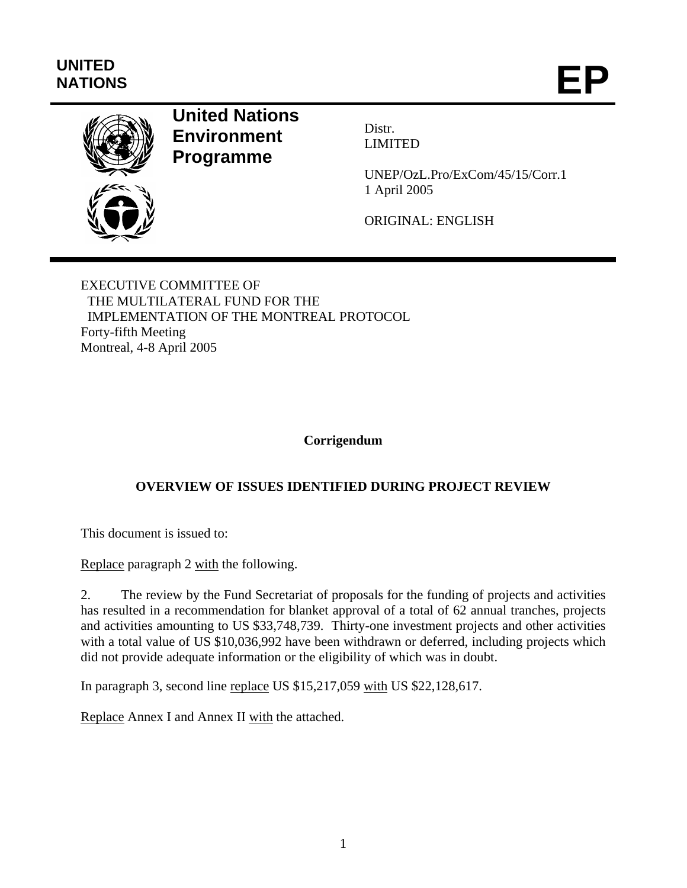# **UNITED**  UNITED<br>NATIONS **EP**



## **United Nations Environment Programme**

Distr. LIMITED

UNEP/OzL.Pro/ExCom/45/15/Corr.1 1 April 2005

ORIGINAL: ENGLISH

EXECUTIVE COMMITTEE OF THE MULTILATERAL FUND FOR THE IMPLEMENTATION OF THE MONTREAL PROTOCOL Forty-fifth Meeting Montreal, 4-8 April 2005

#### **Corrigendum**

#### **OVERVIEW OF ISSUES IDENTIFIED DURING PROJECT REVIEW**

This document is issued to:

Replace paragraph 2 with the following.

2. The review by the Fund Secretariat of proposals for the funding of projects and activities has resulted in a recommendation for blanket approval of a total of 62 annual tranches, projects and activities amounting to US \$33,748,739. Thirty-one investment projects and other activities with a total value of US \$10,036,992 have been withdrawn or deferred, including projects which did not provide adequate information or the eligibility of which was in doubt.

In paragraph 3, second line replace US \$15,217,059 with US \$22,128,617.

Replace Annex I and Annex II with the attached.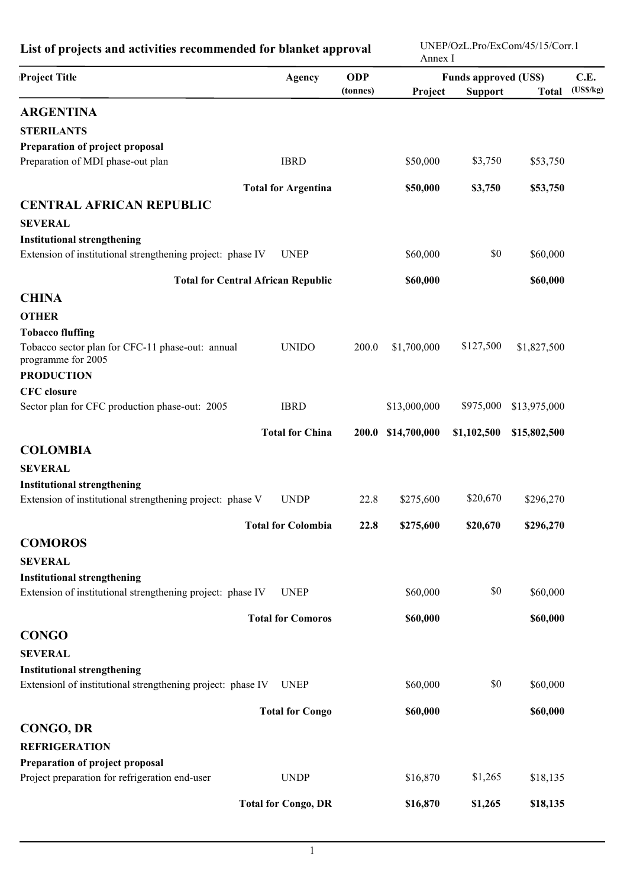| List of projects and activities recommended for blanket approval       |                            |                        | UNEP/OzL.Pro/ExCom/45/15/Corr.1<br>Annex I |                                                |              |                  |
|------------------------------------------------------------------------|----------------------------|------------------------|--------------------------------------------|------------------------------------------------|--------------|------------------|
| Project Title                                                          | Agency                     | <b>ODP</b><br>(tonnes) | Project                                    | <b>Funds approved (US\$)</b><br><b>Support</b> | <b>Total</b> | C.E.<br>(USS/kg) |
| <b>ARGENTINA</b>                                                       |                            |                        |                                            |                                                |              |                  |
| <b>STERILANTS</b>                                                      |                            |                        |                                            |                                                |              |                  |
| Preparation of project proposal                                        |                            |                        |                                            |                                                |              |                  |
| Preparation of MDI phase-out plan                                      | <b>IBRD</b>                |                        | \$50,000                                   | \$3,750                                        | \$53,750     |                  |
|                                                                        | <b>Total for Argentina</b> |                        | \$50,000                                   | \$3,750                                        | \$53,750     |                  |
| <b>CENTRAL AFRICAN REPUBLIC</b>                                        |                            |                        |                                            |                                                |              |                  |
| <b>SEVERAL</b>                                                         |                            |                        |                                            |                                                |              |                  |
| <b>Institutional strengthening</b>                                     |                            |                        |                                            |                                                |              |                  |
| Extension of institutional strengthening project: phase IV             | <b>UNEP</b>                |                        | \$60,000                                   | \$0                                            | \$60,000     |                  |
| <b>Total for Central African Republic</b>                              |                            |                        | \$60,000                                   |                                                | \$60,000     |                  |
| <b>CHINA</b>                                                           |                            |                        |                                            |                                                |              |                  |
| <b>OTHER</b>                                                           |                            |                        |                                            |                                                |              |                  |
| <b>Tobacco fluffing</b>                                                |                            |                        |                                            |                                                |              |                  |
| Tobacco sector plan for CFC-11 phase-out: annual<br>programme for 2005 | <b>UNIDO</b>               | 200.0                  | \$1,700,000                                | \$127,500                                      | \$1,827,500  |                  |
| <b>PRODUCTION</b>                                                      |                            |                        |                                            |                                                |              |                  |
| <b>CFC</b> closure                                                     |                            |                        |                                            |                                                |              |                  |
| Sector plan for CFC production phase-out: 2005                         | <b>IBRD</b>                |                        | \$13,000,000                               | \$975,000                                      | \$13,975,000 |                  |
|                                                                        | <b>Total for China</b>     | 200.0                  | \$14,700,000                               | \$1,102,500                                    | \$15,802,500 |                  |
| <b>COLOMBIA</b>                                                        |                            |                        |                                            |                                                |              |                  |
| <b>SEVERAL</b>                                                         |                            |                        |                                            |                                                |              |                  |
| <b>Institutional strengthening</b>                                     |                            |                        |                                            |                                                |              |                  |
| Extension of institutional strengthening project: phase V              | <b>UNDP</b>                | 22.8                   | \$275,600                                  | \$20,670                                       | \$296,270    |                  |
|                                                                        | <b>Total for Colombia</b>  | 22.8                   | \$275,600                                  | \$20,670                                       | \$296,270    |                  |
| <b>COMOROS</b>                                                         |                            |                        |                                            |                                                |              |                  |
| <b>SEVERAL</b>                                                         |                            |                        |                                            |                                                |              |                  |
| <b>Institutional strengthening</b>                                     |                            |                        |                                            |                                                |              |                  |
| Extension of institutional strengthening project: phase IV             | <b>UNEP</b>                |                        | \$60,000                                   | \$0                                            | \$60,000     |                  |
|                                                                        | <b>Total for Comoros</b>   |                        | \$60,000                                   |                                                | \$60,000     |                  |
| <b>CONGO</b>                                                           |                            |                        |                                            |                                                |              |                  |
| <b>SEVERAL</b>                                                         |                            |                        |                                            |                                                |              |                  |
| <b>Institutional strengthening</b>                                     |                            |                        |                                            |                                                |              |                  |
| Extensionl of institutional strengthening project: phase IV            | <b>UNEP</b>                |                        | \$60,000                                   | \$0                                            | \$60,000     |                  |
|                                                                        | <b>Total for Congo</b>     |                        | \$60,000                                   |                                                | \$60,000     |                  |
| <b>CONGO, DR</b>                                                       |                            |                        |                                            |                                                |              |                  |
| <b>REFRIGERATION</b>                                                   |                            |                        |                                            |                                                |              |                  |
| Preparation of project proposal                                        |                            |                        |                                            |                                                |              |                  |
| Project preparation for refrigeration end-user                         | <b>UNDP</b>                |                        | \$16,870                                   | \$1,265                                        | \$18,135     |                  |
|                                                                        | <b>Total for Congo, DR</b> |                        | \$16,870                                   | \$1,265                                        | \$18,135     |                  |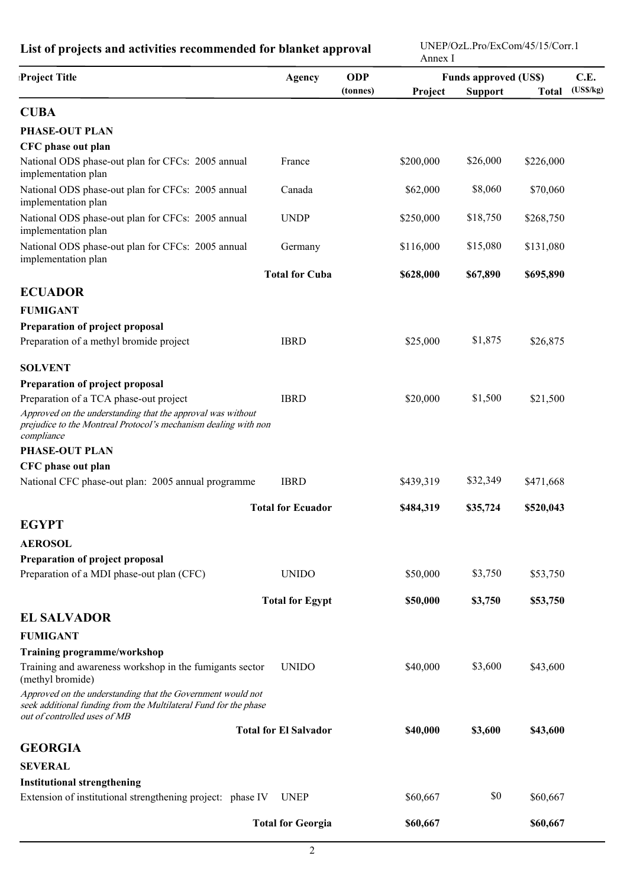| <b>ODP</b><br>Agency<br><b>Funds approved (US\$)</b><br>C.E.<br>(USS/kg)<br>(tonnes)<br>Project<br><b>Support</b><br><b>Total</b><br>PHASE-OUT PLAN<br>CFC phase out plan<br>\$26,000<br>National ODS phase-out plan for CFCs: 2005 annual<br>\$200,000<br>France<br>\$226,000<br>implementation plan<br>\$8,060<br>National ODS phase-out plan for CFCs: 2005 annual<br>Canada<br>\$62,000<br>\$70,060<br>implementation plan<br>\$18,750<br>National ODS phase-out plan for CFCs: 2005 annual<br><b>UNDP</b><br>\$250,000<br>\$268,750<br>implementation plan<br>National ODS phase-out plan for CFCs: 2005 annual<br>\$15,080<br>\$116,000<br>\$131,080<br>Germany<br>implementation plan<br><b>Total for Cuba</b><br>\$628,000<br>\$67,890<br>\$695,890<br><b>ECUADOR</b><br><b>FUMIGANT</b><br>Preparation of project proposal<br>\$1,875<br>Preparation of a methyl bromide project<br><b>IBRD</b><br>\$25,000<br>\$26,875<br><b>SOLVENT</b><br>Preparation of project proposal<br>\$1,500<br>Preparation of a TCA phase-out project<br><b>IBRD</b><br>\$20,000<br>\$21,500<br>Approved on the understanding that the approval was without<br>prejudice to the Montreal Protocol's mechanism dealing with non<br>compliance<br><b>PHASE-OUT PLAN</b><br>CFC phase out plan<br>\$32,349<br><b>IBRD</b><br>National CFC phase-out plan: 2005 annual programme<br>\$439,319<br>\$471,668<br><b>Total for Ecuador</b><br>\$520,043<br>\$484,319<br>\$35,724<br><b>EGYPT</b><br><b>AEROSOL</b><br>Preparation of project proposal<br>Preparation of a MDI phase-out plan (CFC)<br>\$3,750<br><b>UNIDO</b><br>\$50,000<br>\$53,750<br><b>Total for Egypt</b><br>\$50,000<br>\$3,750<br>\$53,750<br><b>EL SALVADOR</b><br><b>FUMIGANT</b><br><b>Training programme/workshop</b><br>\$3,600<br>\$40,000<br>Training and awareness workshop in the fumigants sector<br><b>UNIDO</b><br>\$43,600<br>(methyl bromide)<br>Approved on the understanding that the Government would not<br>seek additional funding from the Multilateral Fund for the phase<br>out of controlled uses of MB<br><b>Total for El Salvador</b><br>\$40,000<br>\$3,600<br>\$43,600<br><b>GEORGIA</b> | List of projects and activities recommended for blanket approval |  |  |  | UNEP/OzL.Pro/ExCom/45/15/Corr.1<br>Annex I |  |  |  |  |
|--------------------------------------------------------------------------------------------------------------------------------------------------------------------------------------------------------------------------------------------------------------------------------------------------------------------------------------------------------------------------------------------------------------------------------------------------------------------------------------------------------------------------------------------------------------------------------------------------------------------------------------------------------------------------------------------------------------------------------------------------------------------------------------------------------------------------------------------------------------------------------------------------------------------------------------------------------------------------------------------------------------------------------------------------------------------------------------------------------------------------------------------------------------------------------------------------------------------------------------------------------------------------------------------------------------------------------------------------------------------------------------------------------------------------------------------------------------------------------------------------------------------------------------------------------------------------------------------------------------------------------------------------------------------------------------------------------------------------------------------------------------------------------------------------------------------------------------------------------------------------------------------------------------------------------------------------------------------------------------------------------------------------------------------------------------------------------------------------------------------------------------------------------------------------|------------------------------------------------------------------|--|--|--|--------------------------------------------|--|--|--|--|
|                                                                                                                                                                                                                                                                                                                                                                                                                                                                                                                                                                                                                                                                                                                                                                                                                                                                                                                                                                                                                                                                                                                                                                                                                                                                                                                                                                                                                                                                                                                                                                                                                                                                                                                                                                                                                                                                                                                                                                                                                                                                                                                                                                          | <b>Project Title</b>                                             |  |  |  |                                            |  |  |  |  |
|                                                                                                                                                                                                                                                                                                                                                                                                                                                                                                                                                                                                                                                                                                                                                                                                                                                                                                                                                                                                                                                                                                                                                                                                                                                                                                                                                                                                                                                                                                                                                                                                                                                                                                                                                                                                                                                                                                                                                                                                                                                                                                                                                                          |                                                                  |  |  |  |                                            |  |  |  |  |
|                                                                                                                                                                                                                                                                                                                                                                                                                                                                                                                                                                                                                                                                                                                                                                                                                                                                                                                                                                                                                                                                                                                                                                                                                                                                                                                                                                                                                                                                                                                                                                                                                                                                                                                                                                                                                                                                                                                                                                                                                                                                                                                                                                          | <b>CUBA</b>                                                      |  |  |  |                                            |  |  |  |  |
|                                                                                                                                                                                                                                                                                                                                                                                                                                                                                                                                                                                                                                                                                                                                                                                                                                                                                                                                                                                                                                                                                                                                                                                                                                                                                                                                                                                                                                                                                                                                                                                                                                                                                                                                                                                                                                                                                                                                                                                                                                                                                                                                                                          |                                                                  |  |  |  |                                            |  |  |  |  |
|                                                                                                                                                                                                                                                                                                                                                                                                                                                                                                                                                                                                                                                                                                                                                                                                                                                                                                                                                                                                                                                                                                                                                                                                                                                                                                                                                                                                                                                                                                                                                                                                                                                                                                                                                                                                                                                                                                                                                                                                                                                                                                                                                                          |                                                                  |  |  |  |                                            |  |  |  |  |
|                                                                                                                                                                                                                                                                                                                                                                                                                                                                                                                                                                                                                                                                                                                                                                                                                                                                                                                                                                                                                                                                                                                                                                                                                                                                                                                                                                                                                                                                                                                                                                                                                                                                                                                                                                                                                                                                                                                                                                                                                                                                                                                                                                          |                                                                  |  |  |  |                                            |  |  |  |  |
|                                                                                                                                                                                                                                                                                                                                                                                                                                                                                                                                                                                                                                                                                                                                                                                                                                                                                                                                                                                                                                                                                                                                                                                                                                                                                                                                                                                                                                                                                                                                                                                                                                                                                                                                                                                                                                                                                                                                                                                                                                                                                                                                                                          |                                                                  |  |  |  |                                            |  |  |  |  |
|                                                                                                                                                                                                                                                                                                                                                                                                                                                                                                                                                                                                                                                                                                                                                                                                                                                                                                                                                                                                                                                                                                                                                                                                                                                                                                                                                                                                                                                                                                                                                                                                                                                                                                                                                                                                                                                                                                                                                                                                                                                                                                                                                                          |                                                                  |  |  |  |                                            |  |  |  |  |
|                                                                                                                                                                                                                                                                                                                                                                                                                                                                                                                                                                                                                                                                                                                                                                                                                                                                                                                                                                                                                                                                                                                                                                                                                                                                                                                                                                                                                                                                                                                                                                                                                                                                                                                                                                                                                                                                                                                                                                                                                                                                                                                                                                          |                                                                  |  |  |  |                                            |  |  |  |  |
|                                                                                                                                                                                                                                                                                                                                                                                                                                                                                                                                                                                                                                                                                                                                                                                                                                                                                                                                                                                                                                                                                                                                                                                                                                                                                                                                                                                                                                                                                                                                                                                                                                                                                                                                                                                                                                                                                                                                                                                                                                                                                                                                                                          |                                                                  |  |  |  |                                            |  |  |  |  |
|                                                                                                                                                                                                                                                                                                                                                                                                                                                                                                                                                                                                                                                                                                                                                                                                                                                                                                                                                                                                                                                                                                                                                                                                                                                                                                                                                                                                                                                                                                                                                                                                                                                                                                                                                                                                                                                                                                                                                                                                                                                                                                                                                                          |                                                                  |  |  |  |                                            |  |  |  |  |
|                                                                                                                                                                                                                                                                                                                                                                                                                                                                                                                                                                                                                                                                                                                                                                                                                                                                                                                                                                                                                                                                                                                                                                                                                                                                                                                                                                                                                                                                                                                                                                                                                                                                                                                                                                                                                                                                                                                                                                                                                                                                                                                                                                          |                                                                  |  |  |  |                                            |  |  |  |  |
|                                                                                                                                                                                                                                                                                                                                                                                                                                                                                                                                                                                                                                                                                                                                                                                                                                                                                                                                                                                                                                                                                                                                                                                                                                                                                                                                                                                                                                                                                                                                                                                                                                                                                                                                                                                                                                                                                                                                                                                                                                                                                                                                                                          |                                                                  |  |  |  |                                            |  |  |  |  |
|                                                                                                                                                                                                                                                                                                                                                                                                                                                                                                                                                                                                                                                                                                                                                                                                                                                                                                                                                                                                                                                                                                                                                                                                                                                                                                                                                                                                                                                                                                                                                                                                                                                                                                                                                                                                                                                                                                                                                                                                                                                                                                                                                                          |                                                                  |  |  |  |                                            |  |  |  |  |
|                                                                                                                                                                                                                                                                                                                                                                                                                                                                                                                                                                                                                                                                                                                                                                                                                                                                                                                                                                                                                                                                                                                                                                                                                                                                                                                                                                                                                                                                                                                                                                                                                                                                                                                                                                                                                                                                                                                                                                                                                                                                                                                                                                          |                                                                  |  |  |  |                                            |  |  |  |  |
|                                                                                                                                                                                                                                                                                                                                                                                                                                                                                                                                                                                                                                                                                                                                                                                                                                                                                                                                                                                                                                                                                                                                                                                                                                                                                                                                                                                                                                                                                                                                                                                                                                                                                                                                                                                                                                                                                                                                                                                                                                                                                                                                                                          |                                                                  |  |  |  |                                            |  |  |  |  |
|                                                                                                                                                                                                                                                                                                                                                                                                                                                                                                                                                                                                                                                                                                                                                                                                                                                                                                                                                                                                                                                                                                                                                                                                                                                                                                                                                                                                                                                                                                                                                                                                                                                                                                                                                                                                                                                                                                                                                                                                                                                                                                                                                                          |                                                                  |  |  |  |                                            |  |  |  |  |
|                                                                                                                                                                                                                                                                                                                                                                                                                                                                                                                                                                                                                                                                                                                                                                                                                                                                                                                                                                                                                                                                                                                                                                                                                                                                                                                                                                                                                                                                                                                                                                                                                                                                                                                                                                                                                                                                                                                                                                                                                                                                                                                                                                          |                                                                  |  |  |  |                                            |  |  |  |  |
|                                                                                                                                                                                                                                                                                                                                                                                                                                                                                                                                                                                                                                                                                                                                                                                                                                                                                                                                                                                                                                                                                                                                                                                                                                                                                                                                                                                                                                                                                                                                                                                                                                                                                                                                                                                                                                                                                                                                                                                                                                                                                                                                                                          |                                                                  |  |  |  |                                            |  |  |  |  |
|                                                                                                                                                                                                                                                                                                                                                                                                                                                                                                                                                                                                                                                                                                                                                                                                                                                                                                                                                                                                                                                                                                                                                                                                                                                                                                                                                                                                                                                                                                                                                                                                                                                                                                                                                                                                                                                                                                                                                                                                                                                                                                                                                                          |                                                                  |  |  |  |                                            |  |  |  |  |
|                                                                                                                                                                                                                                                                                                                                                                                                                                                                                                                                                                                                                                                                                                                                                                                                                                                                                                                                                                                                                                                                                                                                                                                                                                                                                                                                                                                                                                                                                                                                                                                                                                                                                                                                                                                                                                                                                                                                                                                                                                                                                                                                                                          |                                                                  |  |  |  |                                            |  |  |  |  |
|                                                                                                                                                                                                                                                                                                                                                                                                                                                                                                                                                                                                                                                                                                                                                                                                                                                                                                                                                                                                                                                                                                                                                                                                                                                                                                                                                                                                                                                                                                                                                                                                                                                                                                                                                                                                                                                                                                                                                                                                                                                                                                                                                                          |                                                                  |  |  |  |                                            |  |  |  |  |
|                                                                                                                                                                                                                                                                                                                                                                                                                                                                                                                                                                                                                                                                                                                                                                                                                                                                                                                                                                                                                                                                                                                                                                                                                                                                                                                                                                                                                                                                                                                                                                                                                                                                                                                                                                                                                                                                                                                                                                                                                                                                                                                                                                          |                                                                  |  |  |  |                                            |  |  |  |  |
|                                                                                                                                                                                                                                                                                                                                                                                                                                                                                                                                                                                                                                                                                                                                                                                                                                                                                                                                                                                                                                                                                                                                                                                                                                                                                                                                                                                                                                                                                                                                                                                                                                                                                                                                                                                                                                                                                                                                                                                                                                                                                                                                                                          |                                                                  |  |  |  |                                            |  |  |  |  |
|                                                                                                                                                                                                                                                                                                                                                                                                                                                                                                                                                                                                                                                                                                                                                                                                                                                                                                                                                                                                                                                                                                                                                                                                                                                                                                                                                                                                                                                                                                                                                                                                                                                                                                                                                                                                                                                                                                                                                                                                                                                                                                                                                                          |                                                                  |  |  |  |                                            |  |  |  |  |
|                                                                                                                                                                                                                                                                                                                                                                                                                                                                                                                                                                                                                                                                                                                                                                                                                                                                                                                                                                                                                                                                                                                                                                                                                                                                                                                                                                                                                                                                                                                                                                                                                                                                                                                                                                                                                                                                                                                                                                                                                                                                                                                                                                          |                                                                  |  |  |  |                                            |  |  |  |  |
|                                                                                                                                                                                                                                                                                                                                                                                                                                                                                                                                                                                                                                                                                                                                                                                                                                                                                                                                                                                                                                                                                                                                                                                                                                                                                                                                                                                                                                                                                                                                                                                                                                                                                                                                                                                                                                                                                                                                                                                                                                                                                                                                                                          |                                                                  |  |  |  |                                            |  |  |  |  |
|                                                                                                                                                                                                                                                                                                                                                                                                                                                                                                                                                                                                                                                                                                                                                                                                                                                                                                                                                                                                                                                                                                                                                                                                                                                                                                                                                                                                                                                                                                                                                                                                                                                                                                                                                                                                                                                                                                                                                                                                                                                                                                                                                                          |                                                                  |  |  |  |                                            |  |  |  |  |
|                                                                                                                                                                                                                                                                                                                                                                                                                                                                                                                                                                                                                                                                                                                                                                                                                                                                                                                                                                                                                                                                                                                                                                                                                                                                                                                                                                                                                                                                                                                                                                                                                                                                                                                                                                                                                                                                                                                                                                                                                                                                                                                                                                          |                                                                  |  |  |  |                                            |  |  |  |  |
|                                                                                                                                                                                                                                                                                                                                                                                                                                                                                                                                                                                                                                                                                                                                                                                                                                                                                                                                                                                                                                                                                                                                                                                                                                                                                                                                                                                                                                                                                                                                                                                                                                                                                                                                                                                                                                                                                                                                                                                                                                                                                                                                                                          |                                                                  |  |  |  |                                            |  |  |  |  |
|                                                                                                                                                                                                                                                                                                                                                                                                                                                                                                                                                                                                                                                                                                                                                                                                                                                                                                                                                                                                                                                                                                                                                                                                                                                                                                                                                                                                                                                                                                                                                                                                                                                                                                                                                                                                                                                                                                                                                                                                                                                                                                                                                                          |                                                                  |  |  |  |                                            |  |  |  |  |
|                                                                                                                                                                                                                                                                                                                                                                                                                                                                                                                                                                                                                                                                                                                                                                                                                                                                                                                                                                                                                                                                                                                                                                                                                                                                                                                                                                                                                                                                                                                                                                                                                                                                                                                                                                                                                                                                                                                                                                                                                                                                                                                                                                          |                                                                  |  |  |  |                                            |  |  |  |  |
|                                                                                                                                                                                                                                                                                                                                                                                                                                                                                                                                                                                                                                                                                                                                                                                                                                                                                                                                                                                                                                                                                                                                                                                                                                                                                                                                                                                                                                                                                                                                                                                                                                                                                                                                                                                                                                                                                                                                                                                                                                                                                                                                                                          |                                                                  |  |  |  |                                            |  |  |  |  |
|                                                                                                                                                                                                                                                                                                                                                                                                                                                                                                                                                                                                                                                                                                                                                                                                                                                                                                                                                                                                                                                                                                                                                                                                                                                                                                                                                                                                                                                                                                                                                                                                                                                                                                                                                                                                                                                                                                                                                                                                                                                                                                                                                                          |                                                                  |  |  |  |                                            |  |  |  |  |
| <b>SEVERAL</b>                                                                                                                                                                                                                                                                                                                                                                                                                                                                                                                                                                                                                                                                                                                                                                                                                                                                                                                                                                                                                                                                                                                                                                                                                                                                                                                                                                                                                                                                                                                                                                                                                                                                                                                                                                                                                                                                                                                                                                                                                                                                                                                                                           |                                                                  |  |  |  |                                            |  |  |  |  |
| <b>Institutional strengthening</b>                                                                                                                                                                                                                                                                                                                                                                                                                                                                                                                                                                                                                                                                                                                                                                                                                                                                                                                                                                                                                                                                                                                                                                                                                                                                                                                                                                                                                                                                                                                                                                                                                                                                                                                                                                                                                                                                                                                                                                                                                                                                                                                                       |                                                                  |  |  |  |                                            |  |  |  |  |
| \$0<br>Extension of institutional strengthening project: phase IV<br>\$60,667<br>\$60,667<br><b>UNEP</b>                                                                                                                                                                                                                                                                                                                                                                                                                                                                                                                                                                                                                                                                                                                                                                                                                                                                                                                                                                                                                                                                                                                                                                                                                                                                                                                                                                                                                                                                                                                                                                                                                                                                                                                                                                                                                                                                                                                                                                                                                                                                 |                                                                  |  |  |  |                                            |  |  |  |  |
| <b>Total for Georgia</b><br>\$60,667<br>\$60,667                                                                                                                                                                                                                                                                                                                                                                                                                                                                                                                                                                                                                                                                                                                                                                                                                                                                                                                                                                                                                                                                                                                                                                                                                                                                                                                                                                                                                                                                                                                                                                                                                                                                                                                                                                                                                                                                                                                                                                                                                                                                                                                         |                                                                  |  |  |  |                                            |  |  |  |  |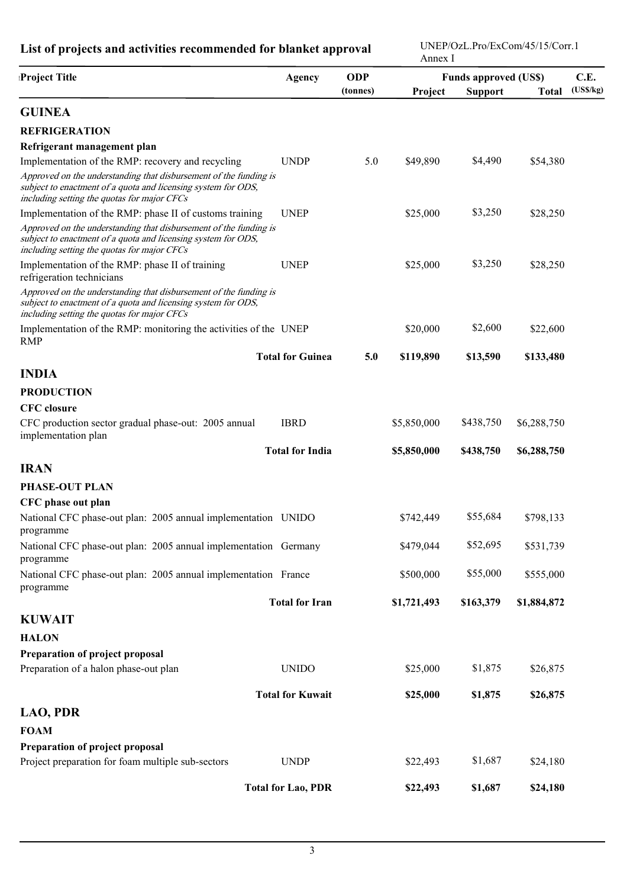UNEP/OzL.Pro/ExCom/45/15/Corr.1

|                                                                                                                                                                                   |                           |            | Annex I                      |                |              |          |
|-----------------------------------------------------------------------------------------------------------------------------------------------------------------------------------|---------------------------|------------|------------------------------|----------------|--------------|----------|
| Project Title                                                                                                                                                                     | <b>Agency</b>             | <b>ODP</b> | <b>Funds approved (US\$)</b> |                |              | C.E.     |
|                                                                                                                                                                                   |                           | (tonnes)   | Project                      | <b>Support</b> | <b>Total</b> | (USS/kg) |
| <b>GUINEA</b>                                                                                                                                                                     |                           |            |                              |                |              |          |
| <b>REFRIGERATION</b>                                                                                                                                                              |                           |            |                              |                |              |          |
| Refrigerant management plan                                                                                                                                                       |                           |            |                              |                |              |          |
| Implementation of the RMP: recovery and recycling                                                                                                                                 | <b>UNDP</b>               | 5.0        | \$49,890                     | \$4,490        | \$54,380     |          |
| Approved on the understanding that disbursement of the funding is<br>subject to enactment of a quota and licensing system for ODS,<br>including setting the quotas for major CFCs |                           |            |                              |                |              |          |
| Implementation of the RMP: phase II of customs training                                                                                                                           | <b>UNEP</b>               |            | \$25,000                     | \$3,250        | \$28,250     |          |
| Approved on the understanding that disbursement of the funding is<br>subject to enactment of a quota and licensing system for ODS,<br>including setting the quotas for major CFCs |                           |            |                              |                |              |          |
| Implementation of the RMP: phase II of training<br>refrigeration technicians                                                                                                      | <b>UNEP</b>               |            | \$25,000                     | \$3,250        | \$28,250     |          |
| Approved on the understanding that disbursement of the funding is<br>subject to enactment of a quota and licensing system for ODS,<br>including setting the quotas for major CFCs |                           |            |                              |                |              |          |
| Implementation of the RMP: monitoring the activities of the UNEP<br><b>RMP</b>                                                                                                    |                           |            | \$20,000                     | \$2,600        | \$22,600     |          |
|                                                                                                                                                                                   | <b>Total for Guinea</b>   | 5.0        | \$119,890                    | \$13,590       | \$133,480    |          |
| <b>INDIA</b>                                                                                                                                                                      |                           |            |                              |                |              |          |
| <b>PRODUCTION</b>                                                                                                                                                                 |                           |            |                              |                |              |          |
| <b>CFC</b> closure                                                                                                                                                                |                           |            |                              |                |              |          |
| CFC production sector gradual phase-out: 2005 annual<br>implementation plan                                                                                                       | <b>IBRD</b>               |            | \$5,850,000                  | \$438,750      | \$6,288,750  |          |
|                                                                                                                                                                                   | <b>Total for India</b>    |            | \$5,850,000                  | \$438,750      | \$6,288,750  |          |
| <b>IRAN</b>                                                                                                                                                                       |                           |            |                              |                |              |          |
| <b>PHASE-OUT PLAN</b>                                                                                                                                                             |                           |            |                              |                |              |          |
| CFC phase out plan                                                                                                                                                                |                           |            |                              |                |              |          |
| National CFC phase-out plan: 2005 annual implementation UNIDO<br>programme                                                                                                        |                           |            | \$742,449                    | \$55,684       | \$798,133    |          |
| National CFC phase-out plan: 2005 annual implementation Germany<br>programme                                                                                                      |                           |            | \$479,044                    | \$52,695       | \$531,739    |          |
| National CFC phase-out plan: 2005 annual implementation France<br>programme                                                                                                       |                           |            | \$500,000                    | \$55,000       | \$555,000    |          |
|                                                                                                                                                                                   | <b>Total for Iran</b>     |            | \$1,721,493                  | \$163,379      | \$1,884,872  |          |
| <b>KUWAIT</b>                                                                                                                                                                     |                           |            |                              |                |              |          |
| <b>HALON</b>                                                                                                                                                                      |                           |            |                              |                |              |          |
| Preparation of project proposal                                                                                                                                                   |                           |            |                              |                |              |          |
| Preparation of a halon phase-out plan                                                                                                                                             | <b>UNIDO</b>              |            | \$25,000                     | \$1,875        | \$26,875     |          |
|                                                                                                                                                                                   | <b>Total for Kuwait</b>   |            | \$25,000                     | \$1,875        | \$26,875     |          |
| <b>LAO, PDR</b>                                                                                                                                                                   |                           |            |                              |                |              |          |
| <b>FOAM</b>                                                                                                                                                                       |                           |            |                              |                |              |          |
| Preparation of project proposal                                                                                                                                                   |                           |            |                              |                |              |          |
| Project preparation for foam multiple sub-sectors                                                                                                                                 | <b>UNDP</b>               |            | \$22,493                     | \$1,687        | \$24,180     |          |
|                                                                                                                                                                                   | <b>Total for Lao, PDR</b> |            | \$22,493                     | \$1,687        | \$24,180     |          |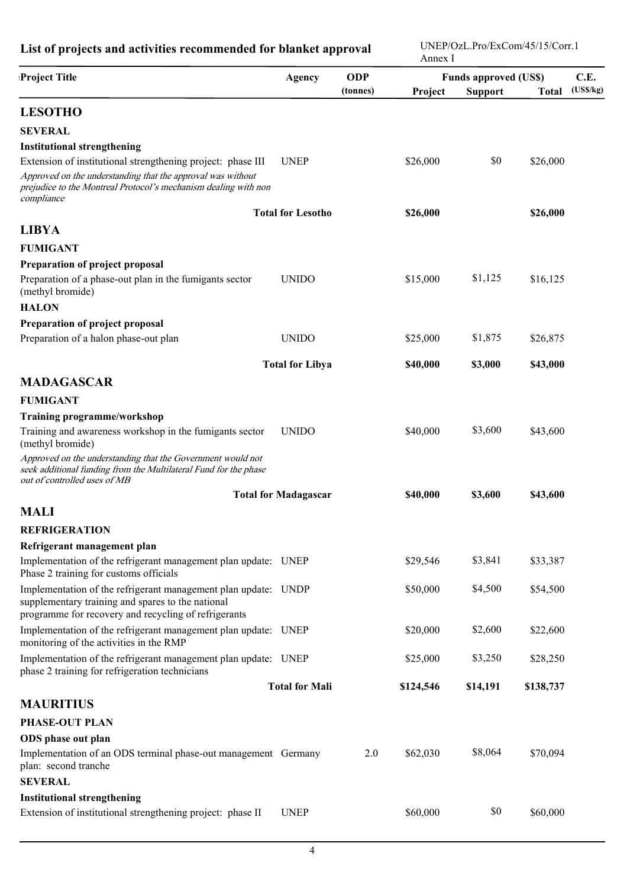| Project Title                                                                                                                                                                                               | <b>Agency</b>               | <b>ODP</b><br>(tonnes) | <b>Funds approved (US\$)</b><br>Project<br><b>Support</b><br><b>Total</b> |          |           | C.E.<br>(USS/kg) |  |
|-------------------------------------------------------------------------------------------------------------------------------------------------------------------------------------------------------------|-----------------------------|------------------------|---------------------------------------------------------------------------|----------|-----------|------------------|--|
|                                                                                                                                                                                                             |                             |                        |                                                                           |          |           |                  |  |
| <b>LESOTHO</b>                                                                                                                                                                                              |                             |                        |                                                                           |          |           |                  |  |
| <b>SEVERAL</b>                                                                                                                                                                                              |                             |                        |                                                                           |          |           |                  |  |
| <b>Institutional strengthening</b>                                                                                                                                                                          |                             |                        |                                                                           |          |           |                  |  |
| Extension of institutional strengthening project: phase III<br>Approved on the understanding that the approval was without<br>prejudice to the Montreal Protocol's mechanism dealing with non<br>compliance | <b>UNEP</b>                 |                        | \$26,000                                                                  | \$0      | \$26,000  |                  |  |
|                                                                                                                                                                                                             | <b>Total for Lesotho</b>    |                        | \$26,000                                                                  |          | \$26,000  |                  |  |
| <b>LIBYA</b>                                                                                                                                                                                                |                             |                        |                                                                           |          |           |                  |  |
| <b>FUMIGANT</b>                                                                                                                                                                                             |                             |                        |                                                                           |          |           |                  |  |
| Preparation of project proposal                                                                                                                                                                             |                             |                        |                                                                           |          |           |                  |  |
| Preparation of a phase-out plan in the fumigants sector<br>(methyl bromide)                                                                                                                                 | <b>UNIDO</b>                |                        | \$15,000                                                                  | \$1,125  | \$16,125  |                  |  |
| <b>HALON</b>                                                                                                                                                                                                |                             |                        |                                                                           |          |           |                  |  |
| Preparation of project proposal                                                                                                                                                                             |                             |                        |                                                                           |          |           |                  |  |
| Preparation of a halon phase-out plan                                                                                                                                                                       | <b>UNIDO</b>                |                        | \$25,000                                                                  | \$1,875  | \$26,875  |                  |  |
|                                                                                                                                                                                                             | <b>Total for Libya</b>      |                        | \$40,000                                                                  | \$3,000  | \$43,000  |                  |  |
| <b>MADAGASCAR</b>                                                                                                                                                                                           |                             |                        |                                                                           |          |           |                  |  |
| <b>FUMIGANT</b>                                                                                                                                                                                             |                             |                        |                                                                           |          |           |                  |  |
| <b>Training programme/workshop</b>                                                                                                                                                                          |                             |                        |                                                                           |          |           |                  |  |
| Training and awareness workshop in the fumigants sector<br>(methyl bromide)                                                                                                                                 | <b>UNIDO</b>                |                        | \$40,000                                                                  | \$3,600  | \$43,600  |                  |  |
| Approved on the understanding that the Government would not<br>seek additional funding from the Multilateral Fund for the phase<br>out of controlled uses of MB                                             |                             |                        |                                                                           |          |           |                  |  |
|                                                                                                                                                                                                             | <b>Total for Madagascar</b> |                        | \$40,000                                                                  | \$3,600  | \$43,600  |                  |  |
| <b>MALI</b>                                                                                                                                                                                                 |                             |                        |                                                                           |          |           |                  |  |
| <b>REFRIGERATION</b>                                                                                                                                                                                        |                             |                        |                                                                           |          |           |                  |  |
| Refrigerant management plan                                                                                                                                                                                 |                             |                        |                                                                           |          |           |                  |  |
| Implementation of the refrigerant management plan update: UNEP<br>Phase 2 training for customs officials                                                                                                    |                             |                        | \$29,546                                                                  | \$3,841  | \$33,387  |                  |  |
| Implementation of the refrigerant management plan update: UNDP<br>supplementary training and spares to the national<br>programme for recovery and recycling of refrigerants                                 |                             |                        | \$50,000                                                                  | \$4,500  | \$54,500  |                  |  |
| Implementation of the refrigerant management plan update: UNEP<br>monitoring of the activities in the RMP                                                                                                   |                             |                        | \$20,000                                                                  | \$2,600  | \$22,600  |                  |  |
| Implementation of the refrigerant management plan update: UNEP<br>phase 2 training for refrigeration technicians                                                                                            |                             |                        | \$25,000                                                                  | \$3,250  | \$28,250  |                  |  |
|                                                                                                                                                                                                             | <b>Total for Mali</b>       |                        | \$124,546                                                                 | \$14,191 | \$138,737 |                  |  |
| <b>MAURITIUS</b>                                                                                                                                                                                            |                             |                        |                                                                           |          |           |                  |  |
| <b>PHASE-OUT PLAN</b>                                                                                                                                                                                       |                             |                        |                                                                           |          |           |                  |  |
| ODS phase out plan                                                                                                                                                                                          |                             |                        |                                                                           |          |           |                  |  |
| Implementation of an ODS terminal phase-out management Germany<br>plan: second tranche                                                                                                                      |                             | 2.0                    | \$62,030                                                                  | \$8,064  | \$70,094  |                  |  |
| <b>SEVERAL</b>                                                                                                                                                                                              |                             |                        |                                                                           |          |           |                  |  |
| <b>Institutional strengthening</b>                                                                                                                                                                          |                             |                        |                                                                           |          |           |                  |  |
| Extension of institutional strengthening project: phase II                                                                                                                                                  | <b>UNEP</b>                 |                        | \$60,000                                                                  | \$0      | \$60,000  |                  |  |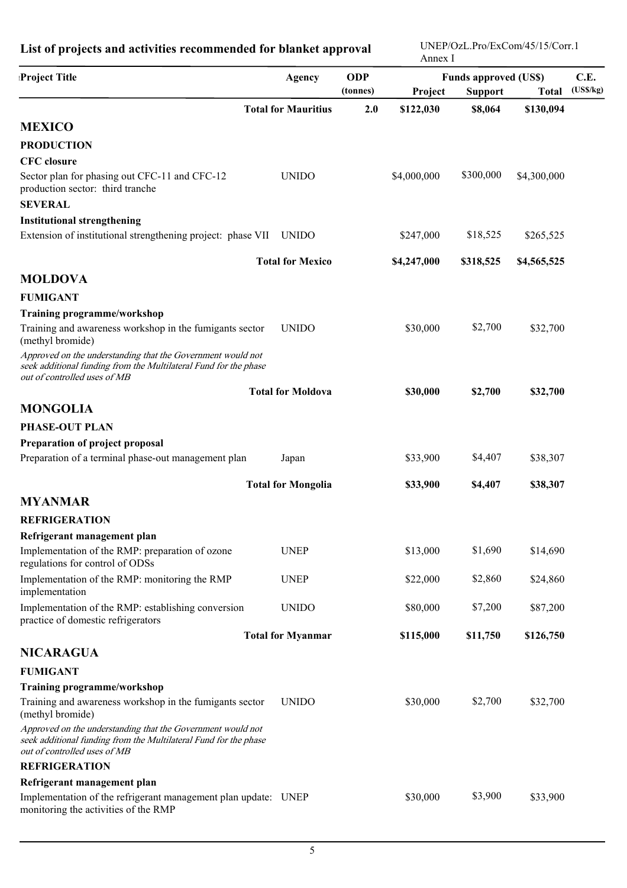| <b>Project Title</b>                                                                                                                                            | Agency                     | <b>ODP</b><br>(tonnes) | <b>Funds approved (US\$)</b><br><b>Support</b><br>Project<br><b>Total</b> |           |             | C.E.<br>(USS/kg) |
|-----------------------------------------------------------------------------------------------------------------------------------------------------------------|----------------------------|------------------------|---------------------------------------------------------------------------|-----------|-------------|------------------|
|                                                                                                                                                                 | <b>Total for Mauritius</b> | 2.0                    | \$122,030                                                                 | \$8,064   | \$130,094   |                  |
| <b>MEXICO</b>                                                                                                                                                   |                            |                        |                                                                           |           |             |                  |
| <b>PRODUCTION</b>                                                                                                                                               |                            |                        |                                                                           |           |             |                  |
| <b>CFC</b> closure                                                                                                                                              |                            |                        |                                                                           |           |             |                  |
| Sector plan for phasing out CFC-11 and CFC-12<br>production sector: third tranche                                                                               | <b>UNIDO</b>               |                        | \$4,000,000                                                               | \$300,000 | \$4,300,000 |                  |
| <b>SEVERAL</b>                                                                                                                                                  |                            |                        |                                                                           |           |             |                  |
| <b>Institutional strengthening</b>                                                                                                                              |                            |                        |                                                                           |           |             |                  |
| Extension of institutional strengthening project: phase VII                                                                                                     | <b>UNIDO</b>               |                        | \$247,000                                                                 | \$18,525  | \$265,525   |                  |
|                                                                                                                                                                 | <b>Total for Mexico</b>    |                        | \$4,247,000                                                               | \$318,525 | \$4,565,525 |                  |
| <b>MOLDOVA</b>                                                                                                                                                  |                            |                        |                                                                           |           |             |                  |
| <b>FUMIGANT</b>                                                                                                                                                 |                            |                        |                                                                           |           |             |                  |
| <b>Training programme/workshop</b>                                                                                                                              |                            |                        |                                                                           |           |             |                  |
| Training and awareness workshop in the fumigants sector<br>(methyl bromide)                                                                                     | <b>UNIDO</b>               |                        | \$30,000                                                                  | \$2,700   | \$32,700    |                  |
| Approved on the understanding that the Government would not<br>seek additional funding from the Multilateral Fund for the phase<br>out of controlled uses of MB |                            |                        |                                                                           |           |             |                  |
|                                                                                                                                                                 | <b>Total for Moldova</b>   |                        | \$30,000                                                                  | \$2,700   | \$32,700    |                  |
| <b>MONGOLIA</b>                                                                                                                                                 |                            |                        |                                                                           |           |             |                  |
| <b>PHASE-OUT PLAN</b>                                                                                                                                           |                            |                        |                                                                           |           |             |                  |
| Preparation of project proposal                                                                                                                                 |                            |                        |                                                                           |           |             |                  |
| Preparation of a terminal phase-out management plan                                                                                                             | Japan                      |                        | \$33,900                                                                  | \$4,407   | \$38,307    |                  |
|                                                                                                                                                                 | <b>Total for Mongolia</b>  |                        | \$33,900                                                                  | \$4,407   | \$38,307    |                  |
| <b>MYANMAR</b>                                                                                                                                                  |                            |                        |                                                                           |           |             |                  |
| <b>REFRIGERATION</b>                                                                                                                                            |                            |                        |                                                                           |           |             |                  |
| Refrigerant management plan                                                                                                                                     |                            |                        |                                                                           |           |             |                  |
| Implementation of the RMP: preparation of ozone<br>regulations for control of ODSs                                                                              | <b>UNEP</b>                |                        | \$13,000                                                                  | \$1,690   | \$14,690    |                  |
| Implementation of the RMP: monitoring the RMP<br>implementation                                                                                                 | <b>UNEP</b>                |                        | \$22,000                                                                  | \$2,860   | \$24,860    |                  |
| Implementation of the RMP: establishing conversion<br>practice of domestic refrigerators                                                                        | <b>UNIDO</b>               |                        | \$80,000                                                                  | \$7,200   | \$87,200    |                  |
|                                                                                                                                                                 | <b>Total for Myanmar</b>   |                        | \$115,000                                                                 | \$11,750  | \$126,750   |                  |
| <b>NICARAGUA</b>                                                                                                                                                |                            |                        |                                                                           |           |             |                  |
| <b>FUMIGANT</b>                                                                                                                                                 |                            |                        |                                                                           |           |             |                  |
| <b>Training programme/workshop</b>                                                                                                                              |                            |                        |                                                                           |           |             |                  |
| Training and awareness workshop in the fumigants sector<br>(methyl bromide)                                                                                     | <b>UNIDO</b>               |                        | \$30,000                                                                  | \$2,700   | \$32,700    |                  |
| Approved on the understanding that the Government would not<br>seek additional funding from the Multilateral Fund for the phase<br>out of controlled uses of MB |                            |                        |                                                                           |           |             |                  |
| <b>REFRIGERATION</b>                                                                                                                                            |                            |                        |                                                                           |           |             |                  |
| Refrigerant management plan                                                                                                                                     |                            |                        |                                                                           |           |             |                  |
| Implementation of the refrigerant management plan update: UNEP<br>monitoring the activities of the RMP                                                          |                            |                        | \$30,000                                                                  | \$3,900   | \$33,900    |                  |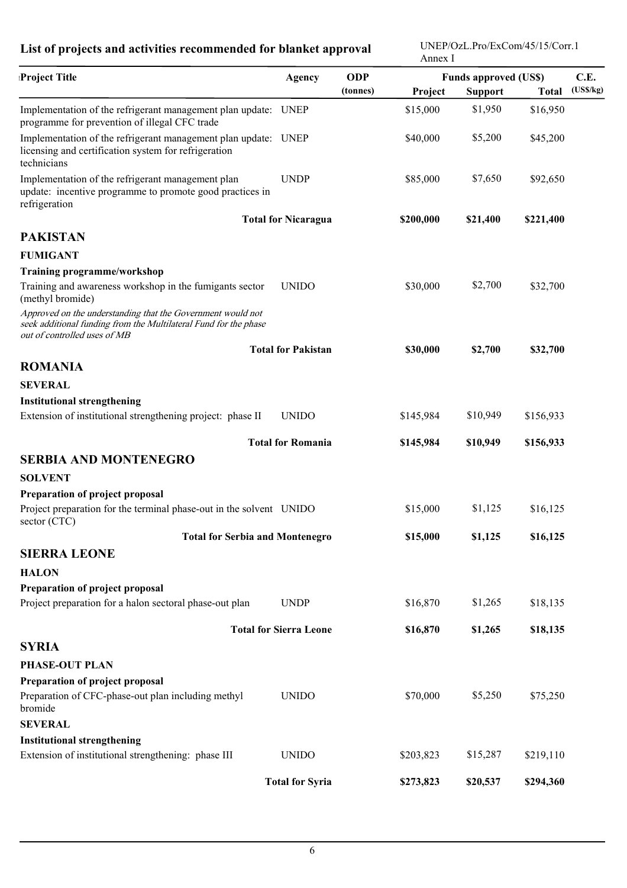| Project Title                                                                                                                                                   | <b>ODP</b><br><b>Funds approved (US\$)</b><br><b>Agency</b> |          |           | C.E.           |              |          |
|-----------------------------------------------------------------------------------------------------------------------------------------------------------------|-------------------------------------------------------------|----------|-----------|----------------|--------------|----------|
|                                                                                                                                                                 |                                                             | (tonnes) | Project   | <b>Support</b> | <b>Total</b> | (USS/kg) |
| Implementation of the refrigerant management plan update: UNEP<br>programme for prevention of illegal CFC trade                                                 |                                                             |          | \$15,000  | \$1,950        | \$16,950     |          |
| Implementation of the refrigerant management plan update: UNEP<br>licensing and certification system for refrigeration<br>technicians                           |                                                             |          | \$40,000  | \$5,200        | \$45,200     |          |
| Implementation of the refrigerant management plan<br>update: incentive programme to promote good practices in<br>refrigeration                                  | <b>UNDP</b>                                                 |          | \$85,000  | \$7,650        | \$92,650     |          |
|                                                                                                                                                                 | <b>Total for Nicaragua</b>                                  |          | \$200,000 | \$21,400       | \$221,400    |          |
| <b>PAKISTAN</b>                                                                                                                                                 |                                                             |          |           |                |              |          |
| <b>FUMIGANT</b>                                                                                                                                                 |                                                             |          |           |                |              |          |
| <b>Training programme/workshop</b>                                                                                                                              |                                                             |          |           |                |              |          |
| Training and awareness workshop in the fumigants sector<br>(methyl bromide)                                                                                     | <b>UNIDO</b>                                                |          | \$30,000  | \$2,700        | \$32,700     |          |
| Approved on the understanding that the Government would not<br>seek additional funding from the Multilateral Fund for the phase<br>out of controlled uses of MB |                                                             |          |           |                |              |          |
|                                                                                                                                                                 | <b>Total for Pakistan</b>                                   |          | \$30,000  | \$2,700        | \$32,700     |          |
| <b>ROMANIA</b>                                                                                                                                                  |                                                             |          |           |                |              |          |
| <b>SEVERAL</b>                                                                                                                                                  |                                                             |          |           |                |              |          |
| <b>Institutional strengthening</b>                                                                                                                              |                                                             |          |           |                |              |          |
| Extension of institutional strengthening project: phase II                                                                                                      | <b>UNIDO</b>                                                |          | \$145,984 | \$10,949       | \$156,933    |          |
|                                                                                                                                                                 | <b>Total for Romania</b>                                    |          | \$145,984 | \$10,949       | \$156,933    |          |
| <b>SERBIA AND MONTENEGRO</b>                                                                                                                                    |                                                             |          |           |                |              |          |
| <b>SOLVENT</b>                                                                                                                                                  |                                                             |          |           |                |              |          |
| Preparation of project proposal                                                                                                                                 |                                                             |          |           |                |              |          |
| Project preparation for the terminal phase-out in the solvent UNIDO<br>sector (CTC)                                                                             |                                                             |          | \$15,000  | \$1,125        | \$16,125     |          |
| <b>Total for Serbia and Montenegro</b>                                                                                                                          |                                                             |          | \$15,000  | \$1,125        | \$16,125     |          |
| <b>SIERRA LEONE</b>                                                                                                                                             |                                                             |          |           |                |              |          |
| <b>HALON</b>                                                                                                                                                    |                                                             |          |           |                |              |          |
| Preparation of project proposal                                                                                                                                 |                                                             |          |           |                |              |          |
| Project preparation for a halon sectoral phase-out plan                                                                                                         | <b>UNDP</b>                                                 |          | \$16,870  | \$1,265        | \$18,135     |          |
|                                                                                                                                                                 | <b>Total for Sierra Leone</b>                               |          | \$16,870  | \$1,265        | \$18,135     |          |
| <b>SYRIA</b>                                                                                                                                                    |                                                             |          |           |                |              |          |
| <b>PHASE-OUT PLAN</b>                                                                                                                                           |                                                             |          |           |                |              |          |
| Preparation of project proposal                                                                                                                                 |                                                             |          |           |                |              |          |
| Preparation of CFC-phase-out plan including methyl<br>bromide                                                                                                   | <b>UNIDO</b>                                                |          | \$70,000  | \$5,250        | \$75,250     |          |
| <b>SEVERAL</b>                                                                                                                                                  |                                                             |          |           |                |              |          |
| <b>Institutional strengthening</b>                                                                                                                              |                                                             |          |           |                |              |          |
| Extension of institutional strengthening: phase III                                                                                                             | <b>UNIDO</b>                                                |          | \$203,823 | \$15,287       | \$219,110    |          |
|                                                                                                                                                                 | <b>Total for Syria</b>                                      |          | \$273,823 | \$20,537       | \$294,360    |          |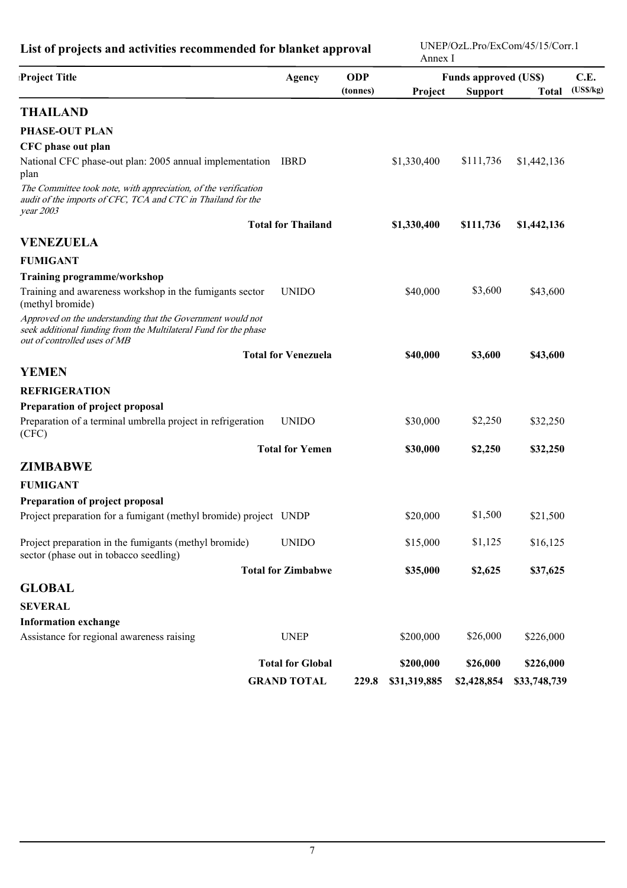| Project Title                                                                                                                                                   | <b>Agency</b>              | <b>ODP</b> | <b>Funds approved (US\$)</b> |                |              | C.E.     |
|-----------------------------------------------------------------------------------------------------------------------------------------------------------------|----------------------------|------------|------------------------------|----------------|--------------|----------|
|                                                                                                                                                                 |                            | (tonnes)   | Project                      | <b>Support</b> | <b>Total</b> | (USS/kg) |
| <b>THAILAND</b>                                                                                                                                                 |                            |            |                              |                |              |          |
| <b>PHASE-OUT PLAN</b>                                                                                                                                           |                            |            |                              |                |              |          |
| CFC phase out plan                                                                                                                                              |                            |            |                              |                |              |          |
| National CFC phase-out plan: 2005 annual implementation IBRD<br>plan                                                                                            |                            |            | \$1,330,400                  | \$111,736      | \$1,442,136  |          |
| The Committee took note, with appreciation, of the verification<br>audit of the imports of CFC, TCA and CTC in Thailand for the<br>year 2003                    |                            |            |                              |                |              |          |
|                                                                                                                                                                 | <b>Total for Thailand</b>  |            | \$1,330,400                  | \$111,736      | \$1,442,136  |          |
| <b>VENEZUELA</b>                                                                                                                                                |                            |            |                              |                |              |          |
| <b>FUMIGANT</b>                                                                                                                                                 |                            |            |                              |                |              |          |
| Training programme/workshop                                                                                                                                     |                            |            |                              |                |              |          |
| Training and awareness workshop in the fumigants sector<br>(methyl bromide)                                                                                     | <b>UNIDO</b>               |            | \$40,000                     | \$3,600        | \$43,600     |          |
| Approved on the understanding that the Government would not<br>seek additional funding from the Multilateral Fund for the phase<br>out of controlled uses of MB |                            |            |                              |                |              |          |
|                                                                                                                                                                 | <b>Total for Venezuela</b> |            | \$40,000                     | \$3,600        | \$43,600     |          |
| <b>YEMEN</b>                                                                                                                                                    |                            |            |                              |                |              |          |
| <b>REFRIGERATION</b>                                                                                                                                            |                            |            |                              |                |              |          |
| Preparation of project proposal                                                                                                                                 |                            |            |                              |                |              |          |
| Preparation of a terminal umbrella project in refrigeration<br>(CFC)                                                                                            | <b>UNIDO</b>               |            | \$30,000                     | \$2,250        | \$32,250     |          |
|                                                                                                                                                                 | <b>Total for Yemen</b>     |            | \$30,000                     | \$2,250        | \$32,250     |          |
| <b>ZIMBABWE</b>                                                                                                                                                 |                            |            |                              |                |              |          |
| <b>FUMIGANT</b>                                                                                                                                                 |                            |            |                              |                |              |          |
| Preparation of project proposal                                                                                                                                 |                            |            |                              |                |              |          |
| Project preparation for a fumigant (methyl bromide) project UNDP                                                                                                |                            |            | \$20,000                     | \$1,500        | \$21,500     |          |
| Project preparation in the fumigants (methyl bromide)<br>sector (phase out in tobacco seedling)                                                                 | <b>UNIDO</b>               |            | \$15,000                     | \$1,125        | \$16,125     |          |
|                                                                                                                                                                 | <b>Total for Zimbabwe</b>  |            | \$35,000                     | \$2,625        | \$37,625     |          |
| <b>GLOBAL</b>                                                                                                                                                   |                            |            |                              |                |              |          |
| <b>SEVERAL</b>                                                                                                                                                  |                            |            |                              |                |              |          |
| <b>Information exchange</b>                                                                                                                                     |                            |            |                              |                |              |          |
| Assistance for regional awareness raising                                                                                                                       | <b>UNEP</b>                |            | \$200,000                    | \$26,000       | \$226,000    |          |
|                                                                                                                                                                 | <b>Total for Global</b>    |            | \$200,000                    | \$26,000       | \$226,000    |          |
|                                                                                                                                                                 | <b>GRAND TOTAL</b>         | 229.8      | \$31,319,885                 | \$2,428,854    | \$33,748,739 |          |